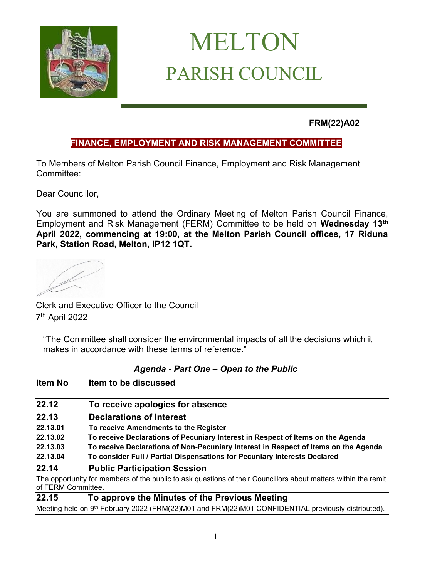

# MELTON PARISH COUNCIL

**FRM(22)A02**

### **FINANCE, EMPLOYMENT AND RISK MANAGEMENT COMMITTEE**

To Members of Melton Parish Council Finance, Employment and Risk Management Committee:

Dear Councillor,

You are summoned to attend the Ordinary Meeting of Melton Parish Council Finance, Employment and Risk Management (FERM) Committee to be held on **Wednesday 13th April 2022, commencing at 19:00, at the Melton Parish Council offices, 17 Riduna Park, Station Road, Melton, IP12 1QT.** 

Clerk and Executive Officer to the Council 7 th April 2022

**Item No Item to be discussed**

"The Committee shall consider the environmental impacts of all the decisions which it makes in accordance with these terms of reference."

#### *Agenda - Part One – Open to the Public*

| 22.12                                 | To receive apologies for absence                                                                               |
|---------------------------------------|----------------------------------------------------------------------------------------------------------------|
|                                       |                                                                                                                |
| 22.13                                 | <b>Declarations of Interest</b>                                                                                |
| 22.13.01                              | To receive Amendments to the Register                                                                          |
| 22.13.02                              | To receive Declarations of Pecuniary Interest in Respect of Items on the Agenda                                |
| 22.13.03                              | To receive Declarations of Non-Pecuniary Interest in Respect of Items on the Agenda                            |
| 22.13.04                              | To consider Full / Partial Dispensations for Pecuniary Interests Declared                                      |
| 22.14                                 | <b>Public Participation Session</b>                                                                            |
|                                       | The opportunity for members of the public to ask questions of their Councillors about matters within the remit |
| of FERM Committee.                    |                                                                                                                |
| $\bullet\bullet\bullet\bullet\bullet$ | - - -<br>---<br>$\overline{\phantom{0}}$                                                                       |

#### **22.15 To approve the Minutes of the Previous Meeting**

Meeting held on 9<sup>th</sup> February 2022 (FRM(22)M01 and FRM(22)M01 CONFIDENTIAL previously distributed).